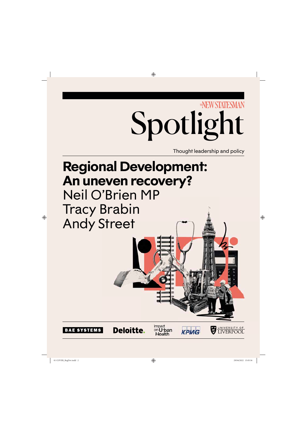

| BAE SYSTEMS            | Deloitte. | on Urban<br>Health | <b>KPMG</b> | LIVERPOOL           |   |
|------------------------|-----------|--------------------|-------------|---------------------|---|
|                        |           |                    |             |                     |   |
|                        |           |                    |             |                     | - |
| 01 COVER_RegDev.indd 2 |           | ⇔                  |             | 29/04/2022 15:05:56 |   |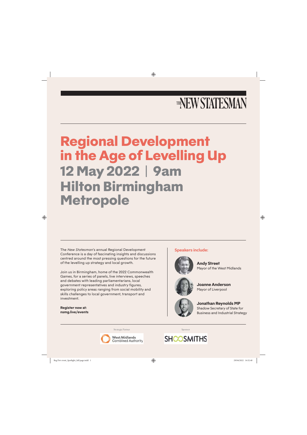# THENEW STATESMAN

# **Regional Development in the Age of Levelling Up 12 May 2022 | 9am Hilton Birmingham Metropole**

The *New Statesman*'s annual Regional Development Conference is a day of fascinating insights and discussions centred around the most pressing questions for the future of the levelling up strategy and local growth.

Join us in Birmingham, home of the 2022 Commonwealth Games, for a series of panels, live interviews, speeches and debates with leading parliamentarians, local government representatives and industry figures, exploring policy areas ranging from social mobility and skills challenges to local government, transport and investment.

**Register now at: nsmg.live/events**

#### **Speakers include:**



**Andy Street** Mayor of the West Midlands



**Joanne Anderson** Mayor of Liverpool



**Jonathan Reynolds MP** Shadow Secretary of State for Business and Industrial Strategy

Strategic Partner New York 1988 (Sponsor



**SHOOSMITHS**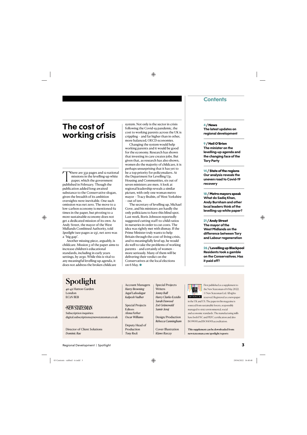### **Contents**

# **The cost of working crisis**

There are 332 pages and 12 national<br>missions in the levelling-up white<br>paper, which the government<br>published in February Though the missions in the levelling-up white paper, which the government published in February. Though the publication added long-awaited substance to the Conservative slogan, given the breadth of its ambition oversights were inevitable. One such omission was net zero. The move to a low-carbon economy is mentioned 62 times in the paper, but pivoting to a more sustainable economy does not get a dedicated mission of its own. As Andy Street, the mayor of the West Midlands Combined Authority, told *Spotlight* (see pages 21-23), net zero was a "big gap".

Another missing piece, arguably, is childcare. Mission 5 of the paper aims to increase children's educational standards, including in early years settings, by 2030. While this is vital to any meaningful levelling-up agenda, it does not address the broken childcare

system. Not only is the sector in crisis following the Covid-19 pandemic, the cost to working parents across the UK is  $crinoline - and far higher than in other,$ more balanced, OECD economies.

Changing the system would help working parents and it would be good for the economy. Research has shown that investing in care creates jobs. But given that, as research has also shown, women do the majority of childcare, it is perhaps unsurprising that it has yet to be a top priority for policymakers. At the Department for Levelling Up, Housing and Communities, six out of seven ministers are men. A look at regional leadership reveals a similar picture, with only one woman metro mayor – Tracy Brabin, of West Yorkshire – out of ten.

The secretary of levelling up, Michael Gove, and his ministers are hardly the only politicians to have this blind spot. Last week, Boris Johnson reportedly suggested cutting staff-to-child ratios in nurseries in order to cut costs. The idea was rightly met with dismay. If the Prime Minister truly wants to help Britain through the cost-of-living crisis, and to meaningfully level up, he would do well to take the problems of working parents – and certainly of women – more seriously. Many of them will be delivering their verdict on the Conservatives at the local elections on 6 May. $\bullet$ 

**4 / News The latest updates on regional development** 

**9 / Neil O'Brien The minister on the levelling-up agenda and the changing face of the Tory Party**

**14 / State of the regions Our analysis reveals the uneven road to Covid-19 recovery** 

**18 / Metro mayors speak What do Sadiq Khan, Andy Burnham and other local leaders think of the levelling-up white paper?**

**21 / Andy Street The mayor of the West Midlands on the difference between Tory and Labour regeneration**

**26 / Levelling up Blackpool Residents took a gamble on the Conservatives. Has it paid off?**

# Spotlight

40-42 Hatton Garden London EC1N 8EB

**ENEW STATESMAN** 

Subscription inquiries: digital.subscriptions@newstatesman.co.uk

Director of Client Solutions *Dominic Rae*

Account Managers *Harry Browning Jugal Lalsodagar Kalpesh Vadher*

Special Projects Editors *Alona Ferber Oscar Williams*

Deputy Head of Production *Tony Rock*

Special Projects Writers *Jonny Ball Harry Clarke-Ezzidio Sarah Dawood Zoë Grünewald Samir Jeraj* 

Design/Production *Rebecca Cunningham*

Cover Illustration *Klawe Rzeczy*



First published as a supplement to the New Statesman of 6 May 2022. © New Statesman Ltd. All rights

reserved. Registered as a newspaper in the UK and US. The paper in this magazine is sourced from sustainable forests, responsibly managed to strict environmental, social and economic standards. The manufacturing mills have both FSC and PEFC certification and also ISO9001 and ISO14001 accreditation.

This supplement can be downloaded from: newstatesman.com/spotlight/reports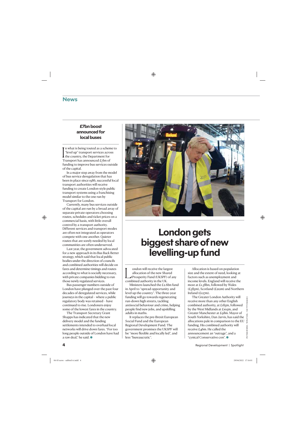### **News**

#### **£7bn boost announced for local buses**

In what is being touted as a schem<br>
"level up" transport services acros-<br>
the country, the Department for<br>
Transport has announced  $E_7$ bn of n what is being touted as a scheme to "level up" transport services across  $\mathbf I$  the country, the Department for funding to improve bus services outside of the capital.

In a major step away from the model of bus service deregulation that has been in place since 1986, successful local transport authorities will receive funding to create London-style public transport systems using a franchising model similar to the one run by Transport for London.

Currently, many bus services outside of the capital are run by a broad array of separate private operators choosing routes, schedules and ticket prices on a commercial basis, with little overall control by a transport authority. Different services and transport modes are often not integrated as operators compete with one another. Quieter routes that are sorely needed by local communities are often underserved.

Last year, the government advocated for a new approach in its Bus Back Better strategy, which said that local public bodies under the direction of councils and combined authorities will decide on fares and determine timings and routes according to what is socially necessary, with private companies bidding to run those newly regulated services.

Bus passenger numbers outside of London have plunged over the past four decades of deregulated services, while journeys in the capital – where a public regulatory body was retained – have continued to rise. Londoners enjoy some of the lowest fares in the country.

The Transport Secretary Grant Shapps has indicated that the new delivery model and the funding settlements intended to overhaul local networks will drive down fares. "For too long people outside of London have had a raw deal," he said.  $\bullet$ 



# **London gets biggest share of new levelling-up fund**

ondon will receive the larged authority Fund (UKSPF)<br>Prosperity Fund (UKSPF)<br>combined authority in the UK. ondon will receive the largest allocation of the new Shared Prosperity Fund (UKSPF) of any

Ministers launched the £2.6bn fund in April to "spread opportunity and level up the country". The three-year funding will go towards regenerating run-down high streets, tackling antisocial behaviour and crime, helping people find new jobs, and upskilling adults in maths.

It replaces the pre-Brexit European Social Fund and the European Regional Development Fund. The government promises the UKSPF will be "more flexible and locally led", and less "bureaucratic".

Allocation is based on population size and the extent of need, looking at factors such as unemployment and income levels. England will receive the most at £1.58bn, followed by Wales  $(E$ 585m), Scotland (£212m) and Northern Ireland (£127m).

The Greater London Authority will receive more than any other English combined authority, at £185m, followed by the West Midlands at £105m, and Greater Manchester at £98m. Mayor of South Yorkshire, Dan Jarvis, has said the allocations pale in comparison to the EU funding. His combined authority will receive £46m. He called the announcement an "outrage", and a "cynical Conservative con". O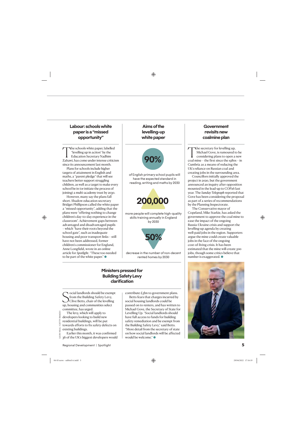#### **Labour: schools white paper is a "missed opportunity"**

The schools white paper, labelled<br>
"levelling up in action" by the<br>
Education Secretary Nadhim<br>
Zahawi, has come under intense criticism "levelling up in action" by the Education Secretary Nadhim since its announcement last month.

Plans for schools include higher targets of attainment in English and maths, a "parent pledge" that will see teachers better support struggling children, as well as a target to make every school be in (or initiate the process of joining) a multi-academy trust by 2030.

However, many say the plans fall short. Shadow education secretary Bridget Phillipson called the white paper a "missed opportunity", adding that the plans were "offering nothing to change children's day-to-day experience in the classroom". Achievement gaps between advantaged and disadvantaged pupils – which "have their roots beyond the school gate", such as inadequate housing and poor transport links – still have not been addressed, former children's commissioner for England, Anne Longfield, wrote in an online article for *Spotlight*. "These too needed to be part of the white paper." $\bullet$ 

**Aims of the levelling-up white paper**



of English primary school pupils will have the expected standard in reading, writing and maths by 2030



more people will complete high-quality skills training annually in England by 2030



decrease in the number of non-decent rented homes by 2030

#### **Ministers pressed for Building Safety Levy clarification**

Social landlords should be exempt<br>from the Building Safety Levy,<br>up, housing and communities select ocial landlords should be exempt from the Building Safety Levy,  $\mathcal{Y}$ Clive Betts, chair of the levelling committee, has urged.

LEON NEAL / GETTY IMAGES

NEAL, LEON

**GETTY IMAGES** 

Earlier this month, it was confirmed 36 of the UK's biggest developers would contribute  $E_5$ bn to government plans.

Betts fears that charges incurred by social housing landlords could be passed on to renters, and has written to Michael Gove, the Secretary of State for Levelling Up. "Social landlords should have full access to funds for building safety remediation and be exempt from the Building Safety Levy," said Betts. "More detail from the secretary of state on how social landlords will be affected would be welcome." $\bullet$ 

#### **Government revisits new coalmine plan**

The secretary for levelling up,<br>
Michael Gove, is rumoured to be<br>
considering plans to open a new<br>
coal mine – the first since the 1980s – in Michael Gove, is rumoured to be considering plans to open a new Cumbria as a means of reducing the UK's reliance on Russian coal and creating jobs in the surrounding area.

Councillors initially approved the project in 2020, but the government announced an inquiry after opposition mounted in the lead-up to COP26 last year. The *Sunday Telegraph* reported that Gove has been considering the proposal as part of a series of recommendations by the Planning Inspectorate.

The Conservative mayor of Copeland, Mike Starkie, has asked the government to approve the coal mine to ease the impact of the ongoing Russia-Ukraine crisis and support the levelling-up agenda by creating well-paid jobs in the region. Supporters argue the mine could create valuable jobs in the face of the ongoing cost-of-living crisis. It has been estimated that the mine will create 500 jobs, though some critics believe that number is exaggerated.  $\bullet$ 

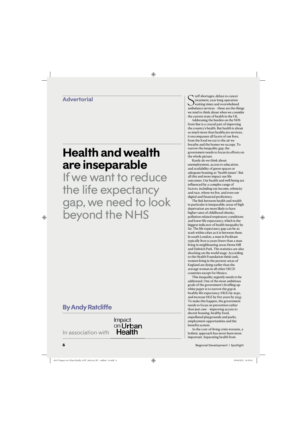## **Advertorial**

# **Health and wealth are inseparable**

If we want to reduce the life expectancy gap, we need to look beyond the NHS

# **By Andy Ratcliffe**

In association with

### Impact on Urban **Health**

Staff shortages, delays to cancer<br>Streatment, year-long operation<br>ambulance services – these are the things Itaff shortages, delays to cancer treatment, year-long operation waiting times and overwhelmed we tend to think about when we consider the current state of health in the UK.

Addressing the burden on the NHS front line is a crucial part of improving the country's health. But health is about so much more than healthcare services; it encompasses all facets of our lives, from the food we eat to the air we breathe and the homes we occupy. To narrow the inequality gap, the government needs to focus its efforts on the whole picture.

Rarely do we think about unemployment, access to education, and availability of green spaces or adequate housing as "health issues". But all this and more impact our life outcomes. Our health and well-being are influenced by a complex range of factors, including our income, ethnicity and race, where we live, and even our digital and financial proficiency.

The link between health and wealth in particular is inseparable; areas of high deprivation are more likely to have higher rates of childhood obesity, pollution-related respiratory conditions and lower life expectancy, which is the biggest indicator of health inequality by far. The life expectancy gap can be as stark within cities as it is between them. In south London, a man in Peckham typically lives 12 years fewer than a man living in neighbouring areas Herne Hill and Dulwich Park. The statistics are also shocking on the world stage. According to the Health Foundation think tank, women living in the poorest areas of England are dying earlier than the average woman in all other OECD countries except for Mexico.

This inequality urgently needs to be addressed. One of the most ambitious goals of the government's levelling-up white paper is to narrow the gap in healthy life expectancy (HLE) by 2030, and increase HLE by five years by 2035. To make this happen, the government needs to focus on prevention rather than just cure – improving access to decent housing, healthy food, unpolluted playgrounds and parks, employment opportunities and the benefits system.

As the cost-of-living crisis worsens, a holistic approach has never been more important. Separating health from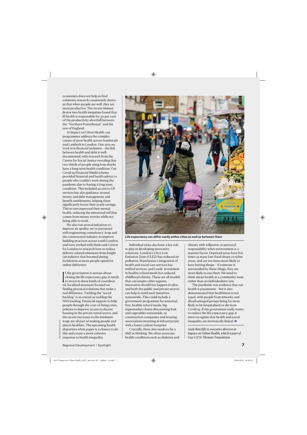economics does not help us find solutions; research consistently shows us that when people are well, they are more productive. The recent *Marmot Review* into health inequities found that ill health is responsible for 30 per cent of the productivity shortfall between the "Northern Powerhouse" and the rest of England.

At Impact on Urban Health, our programmes address the complex causes of poor health across Southwark and Lambeth in London. One area we work in is financial inclusion – the link between health and debt is welldocumented, with research from the Centre for Social Justice revealing that two-thirds of people using loan sharks have a long-term health condition. Our Covid-19 Financial Shield scheme provided financial and health advice to people who couldn't work during the pandemic due to having a long-term condition. This included access to GP services but also guidance around money and debt management and benefit entitlements, helping them significantly boost their yearly savings. This in turn improved their mental health, reducing the emotional toll that comes from money worries while not being able to work.

We also run several initiatives to improve air quality; we've partnered with engineering consultancy Arup and the construction industry to improve building practices across south London, and have worked with think tank Centre for London to research how to reduce delivery-related emissions from freight (an industry that boomed during lockdowns as more people opted for online deliveries).

 $\prod_{\rm eq}$ f the government is serious about closing the life expectancy gap, it needs to invest in these kinds of coordinated, localised measures focused on finding practical solutions that make a real difference. Tackling the "social backlog" is as crucial as tackling the NHS backlog. Financial support to help people through the cost-of-living crisis, policies to improve access to decent housing in the private rental sector, and the recent increases to the minimum wage are all part of making people and places healthier. The upcoming health disparities white paper is a chance to do this and create a more cohesive response to health inequality.



**Life expectancy can differ vastly within cities as well as between them**

Individual cities also have a key role to play in developing innovative solutions. London's Ultra Low Emission Zone (ULEZ) has reduced air pollution, Manchester's integration of health and social care services has unified services, and Leeds' investment in healthy school meals has reduced childhood obesity. These are all models that can inspire other regions; innovation should not happen in silos, and both the public and private sectors can help to instil such initiatives nationwide. This could include a government programme for universal, free, healthy school meals, big supermarket chains discounting fruit and vegetables nationwide, or construction companies and housing associations investing in infrastructure with a lower carbon footprint.

Crucially, there also needs to be a shift in thinking. We often associate health conditions such as diabetes and obesity with willpower or personal responsibility when environment is a massive factor. Deprived areas have five times as many fast-food shops as richer areas, and are ten times more likely to have betting shops – if someone is surrounded by these things, they are more likely to use them. We need to think about health as a community issue rather than an individualistic one.

The pandemic was evidence that our health is paramount – but it also demonstrated that healthiness is not equal, with people from minority and disadvantaged groups being far more likely to be hospitalised or die from Covid-19. If the government really wants to reduce the life expectancy gap, it must recognise that health and social inequality are intrinsically linked.  $\bullet$ 

*Andy Ratcliffe is executive director at Impact on Urban Health, which is part of Guy's & St Thomas' Foundation*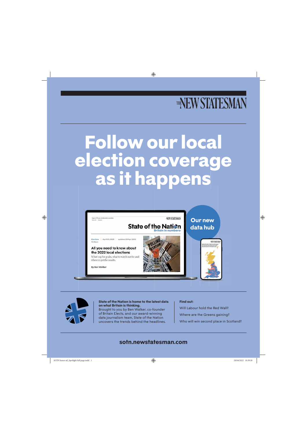# THENEW STATESMAN

# **Follow our local election coverage as it happens**



**NEW STATESMAN** 

#### State of the Nation **Britain in numbers**

Elections | April 25, 2022 | updated 28 Apr 2022 10:30am

#### All you need to know about the 2022 local elections

What's up for grabs, what to watch out for and where to get the results.

By Ben Walker





**Our new** 

**data hub**



**State of the Nation is home to the latest data on what Britain is thinking.** 

Brought to you by Ben Walker, co-founder of Britain Elects, and our award-winning data journalism team, State of the Nation uncovers the trends behind the headlines.

#### **Find out:**

Will Labour hold the Red Wall?

Where are the Greens gaining?

Who will win second place in Scotland?

### **sotn.newstatesman.com**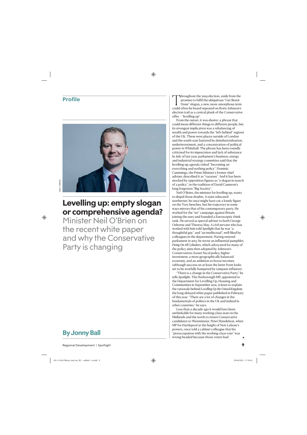### **Profile**



# **Levelling up: empty slogan or comprehensive agenda?**

Minister Neil O'Brien on the recent white paper and why the Conservative Party is changing



Throughout the 2019 election, aside from the<br>promise to fulfil the ubiquitous "Get Brexit<br>Done" slogan, a new, more amorphous term<br>could often be heard repeated on Boris Johnson's promise to fulfil the ubiquitous "Get Brexit Done" slogan, a new, more amorphous term could often be heard repeated on Boris Johnson's election trail as a central plank of the Conservative offer – "levelling up".

From the outset, it was elusive: a phrase that could mean different things to different people, but its strongest implication was a rebalancing of wealth and power towards the "left-behind" regions of the UK. These were places outside of London and the south-east battered by deindustrialisation, underinvestment, and a concentration of political power in Whitehall. The phrase has been roundly criticised for its imprecision and lack of substance. In July of last year, parliament's business, energy and industrial strategy committee said that the levelling-up agenda risked "becoming an everything and nothing policy". Dominic Cummings, the Prime Minister's former chief adviser, described it as "vacuous". And it has been mocked by opposition figures as "a slogan in search of a policy", in the tradition of David Cameron's long-forgotten "Big Society".

Neil O'Brien, the minister for levelling up, wants to dispel those doubts. A state-educated northerner, he once might have cut a lonely figure on the Tory benches, but his trajectory in some ways mirrors that of his contemporary party. He worked for the "no" campaign against Britain joining the euro and founded a Eurosceptic think tank. He served as special adviser to both George Osborne and Theresa May. A civil servant who has worked with him told *Spotlight* that he was "a thoughtful guy" and "an intellectual", well-liked by colleagues in the department. Having entered parliament in 2017, he wrote an influential pamphlet, *Firing On All Cylinders*, which advocated for many of the policy aims then adopted by Johnson's Conservatives: looser fiscal policy, higher investment, a more geographically balanced economy, and an ambition to boost incomes (although success on at least the latter front looks set to be woefully hampered by rampant inflation).

"There is a change in the Conservative Party," he tells *Spotlight*. The Harborough MP, appointed to the Department for Levelling Up, Housing and Communities in September 2021, is keen to explain the rationale behind *Levelling Up the United Kingdom*, the long-delayed white paper published in February of this year. "There are a lot of changes in the fundamentals of politics in the UK and indeed in other countries," he says.

Less than a decade ago it would have been unthinkable for many working-class seats in the Midlands and the north to return Conservative candidates to Westminster. Peter Mandelson, when MP for Hartlepool at the height of New Labour's powers, once told a cabinet colleague that his "preoccupation with the working-class vote" was wrong-headed because those voters had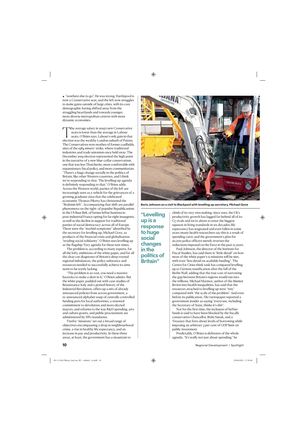"nowhere else to go". He was wrong. Hartlepool is now a Conservative seat, and the left now struggles to make gains outside of large cities, with its core demographic having shifted away from the struggling heartlands and towards younger, more diverse metropolitan centres with more dynamic economies.

The average salary in 2019's new Conservative<br>seats is lower than the average in Labour<br>seats, O'Brien says. Labour's only gain in that<br>election was the wealthy London suburb of Putney. seats is lower than the average in Labour seats, O'Brien says. Labour's only gain in that election was the wealthy London suburb of Putney. The Conservatives won swathes of former coalfields, sites of the 1984 miners' strike, where traditional industries and trade unionism once held sway. The December 2019 election represented the high point in the narrative of a new blue-collar conservatism, one that was less Thatcherite, more comfortable with expansionary fiscal policy, and more communitarian. "There's a huge change socially in the politics of Britain, like other Western countries, and I think we're responding to that. The levelling-up agenda is definitely responding to that," O'Brien adds. Across the Western world, parties of the left are increasingly seen as a vehicle for the grievances of a growing graduate class that the celebrated economist Thomas Piketty has christened the "Brahmin left". Accompanying that shift are parallel phenomena on the right: of populist Republicanism in the US Rust Belt, of former leftist bastions in post-industrial France opting for far-right insurgents, as well as the decline in support for traditional parties of social democracy across all of Europe. These were the "morbid symptoms" identified by the secretary for levelling up, Michael Gove, as products of the financial crisis and globalisation "eroding social solidarity". O'Brien sees levelling up as the flagship Tory agenda for these new times.

The problem is, according to many experts, for all the lofty ambitions of the white paper, and for all the clear-cut diagnoses of Britain's deep-rooted regional imbalances, the policy substance and resources needed to successfully achieve its aims seem to be sorely lacking.

"The problem is so vast, you need a massive bazooka to make a dent in it," O'Brien admits. But the white paper, padded out with case studies of Renaissance Italy and a potted history of the Industrial Revolution, offers up a mix of already announced policies from across government, a re-announced alphabet soup of centrally controlled funding pots for local authorities, a renewed commitment to devolution and more elected mayors, and reforms to the way R&D spending, arts and culture grants, and public procurement are administered by SW1 mandarins.

Twelve "missions" set out a broad range of objectives encompassing a drop in neighbourhood crime, a rise in healthy life expectancy, and an increase in pay and productivity. In these three areas, at least, the government has a mountain to



**Boris Johnson on a visit to Blackpool with levelling up secretary, Michael Gove**

**"Levelling up is a response to huge social changes in the politics of Britain"**

climb of its very own making: since 2010, the UK's productivity growth has lagged far behind all of its G7 rivals and we're about to enter the biggest squeeze in living standards in six decades; life expectancy has stagnated and even fallen in some years (many health researchers say this is a result of spending cuts); and the government's plan for 20,000 police officers merely reverses the reductions imposed on the force in the past 12 years.

Paul Johnson, the director of the Institute for Fiscal Studies, has said there is "little detail" on how most of the white paper's 12 missions will be met, with even "less detail on available funding". The Centre for Cities think tank has compared levelling up to German reunification after the fall of the Berlin Wall, adding that the true cost of narrowing the gap between Britain's regions would run into the trillions. Michael Marmot, author of the *Marmot Review* into health inequalities, has said that the resources attached to levelling up were "tiny" compared with "the scale of the problem". And even before its publication, *The i* newspaper reported a government insider as saying "everyone, including the Secretary of State, thinks it's shit".

Not for the first time, the inclusion of heftier funds is said to have been blocked by the fiscally conservative Chancellor, Rishi Sunak, and a Treasury that frets about levels of borrowing while imposing an arbitrary 3 per cent of GDP limit on public investment.

Predictably, O'Brien is defensive of the whole agenda. "It's really not just about spending," he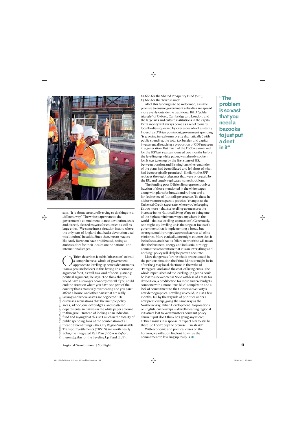

says. "It is about structurally trying to do things in a different way." The white paper renews the government's commitment to new devolution deals and directly elected mayors for counties as well as large cities. "We came into a situation in 2010 where the only part of England that had a devolution deal was London," he adds. Since then, metro mayors like Andy Burnham have proliferated, acting as ambassadors for their locales on the national and international stages.

**C**<br>
a comprehensive, whole-of-government<br>
approach to levelling up across departments.<br>
"I am a genuine believer in this having an economic a comprehensive, whole-of-government approach to levelling up across departments. "I am a genuine believer in this having an economic argument for it, as well as a kind of social justice-y, political argument," he says. "I do think that you would have a stronger economy overall if you could end the situation where you have one part of the country that's massively overheating and you can't afford a house, and other parts that are really lacking and where assets are neglected." He dismisses accusations that the multiple policy areas, ad hoc, one-off budgets, and scattered departmental initiatives in the white paper amount to thin gruel: "Instead of looking at an individual fund and saying that this isn't much in the totality of public spending, look at the combination of all these different things – the City Region Sustainable Transport Settlements (CRSTS) are worth nearly £6bn, the Integrated Rail Plan (IRP) was £96bn, there's £4.8bn for the Leveling Up Fund (LUF),

All of this funding is to be welcomed, as is the promise to ensure government subsidies are spread more evenly outside the traditional R&D "golden triangle" of Oxford, Cambridge and London, and the large arts and culture institutions in the capital. Extra money will always come as a relief to many local bodies squeezed by over a decade of austerity. Indeed, as O'Brien points out, government spending "is growing in real terms pretty dramatically", with public spending, the total tax burden and capital investment all reaching a proportion of GDP not seen in a generation. But much of the £96bn earmarked for the IRP last year, announced two months before the levelling-up white paper, was already spoken for. It was taken up by the first stage of HS2 between London and Birmingham (the remainder of the plans had been diluted and fell short of what had been originally promised). Similarly, the SPF replaces the regional grants that were once paid by the EU, and largely replicates its methodology.

The funding pots O'Brien lists represent only a fraction of those mentioned in the white paper, along with plans for broadband roll-out and a fan-led review of football governance. To these he adds two more separate policies: "changes to the Universal Credit taper rate, where you're keeping £1,000 more – that's a levelling-up measure; the increase in the National Living Wage to being one of the highest minimum wages anywhere in the world – that's a levelling-up measure". Generously, one might say levelling up is the singular focus of a government that is implementing a broad but strategic, multi-pronged approach across all of its ministries. More cynically, one might counter that it lacks focus, and that its failure to prioritise will mean that the business, energy and industrial strategy committee's contention that it is an "everything and nothing" policy will likely be proven accurate.

More dangerous for the whole project could be the perilous situation the Prime Minister might be in after the  $\varsigma$  May local elections in the wake of "Partygate" and amid the cost-of-living crisis. The whole impetus behind the levelling-up agenda could be lost to a newcomer in No 10 with less of a taste for devolution, a predilection for more austere budgets, someone with a more "true blue" complexion and a lack of commitment to the Conservative Party's new demographics. Levelling up could, in just a few months, fall by the wayside of priorities under a new premiership, going the same way as the Northern Way, Urban Development Corporations or English Partnerships – all well-meaning regional initiatives lost to Westminster's constant policy churn. "I just don't think he's going anywhere," O'Brien insists in response. "I expect him to still be there. So I don't buy the premise… I'm afraid."

With economic and political crises on the horizon, we will soon find out how true the commitment to levelling up really is.  $\bullet$ 

**"The problem is so vast that you need a bazooka to just put a dent in it"**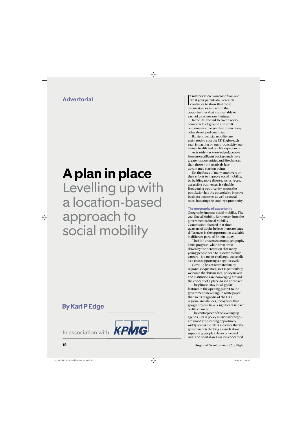## **Advertorial**

# **A plan in place** Levelling up with a location-based approach to social mobility

# **By Karl P Edge**



If matters where you come from<br>that your parents do. Resear<br>continues to show that thes<br>circumstances impact on the t matters where you come from and what your parents do. Research continues to show that these opportunities that are available to each of us across our lifetimes.

In the UK, the link between socioeconomic background and adult outcomes is stronger than it is in many other developed countries.

Barriers to social mobility are estimated to cost the UK £39bn each year, impacting on our productivity, our mental health and our life expectancy.

As is widely acknowledged, people from more affluent backgrounds have greater opportunities and life chances than those from relatively lessadvantaged starting points.

So, the focus of many employers on their efforts to improve social mobility, by building more diverse, inclusive and accessible businesses, is valuable. Broadening opportunity across the population has the potential to improve business outcomes as well as social ones, boosting the country's prosperity.

#### **The geography of opportunity**

Geography impacts social mobility. The 2021 Social Mobility Barometer, from the government's Social Mobility Commission, showed that threequarters of adults believe there are large differences in the opportunities available in different parts of Britain today.

The UK's uneven economic geography limits progress, while brain drain – driven by the perception that many young people need to relocate to build careers – is a major challenge, especially as it risks supporting a negative cycle.

Covid-19 has exacerbated many regional inequalities, so it is particularly welcome that businesses, policymakers and institutions are converging around the concept of a place-based approach.

The phrase "stay local, go far" features in the opening gambit to the government's levelling-up white paper that, in its diagnosis of the UK's regional imbalances, recognises that geography can have a significant impact on life chances.

The centrepiece of the levelling-up agenda – its 12 policy missions for 2030 – are aimed at spreading opportunity widely across the UK. It indicates that the government is thinking as much about supporting people in less-connected rural and coastal areas as it is concerned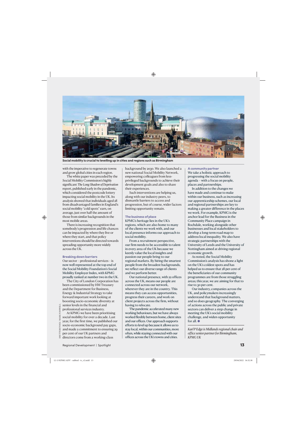

**Social mobility is crucial to levelling up in cities and regions such as Birmingham**

with the imperative to regenerate towns and grow global cities in each region.

The white paper was preceded by the Social Mobility Commission's highly significant *The Long Shadow of Deprivation*  report, published early in the pandemic, which considered the postcode lottery impacting social mobility in the UK. Its analysis showed that individuals aged 28 from disadvantaged families in England's social mobility "cold spots" earn, on average, just over half the amount of those from similar backgrounds in the most mobile areas.

There is increasing recognition that somebody's progression and life chances can be impacted by where they live or where they start, and that policy interventions should be directed towards spreading opportunity more widely across the UK.

#### **Breaking down barriers**

Our sector – professional services – is now well represented at the top end of the Social Mobility Foundation's Social Mobility Employer Index, with KPMG proudly ranked at number two in the UK.

The City of London Corporation has been commissioned by HM Treasury and the Department for Business, Energy & Industrial Strategy to take forward important work looking at boosting socio-economic diversity at senior levels in the financial and professional services industry.

At KPMG we have been prioritising social mobility for over a decade. Last year, for the first time, we published our socio-economic background pay gaps, and made a commitment to ensuring 29 per cent of our UK partners and directors come from a working-class

background by 2030. We also launched a new national Social Mobility Network, empowering colleagues from lessprivileged backgrounds to achieve their development goals and also to share their experiences.

Such interventions are helping us, along with our industry peers, to dismantle barriers to access and progression, but of course, wider factors limiting opportunity remain.

#### **The business of place**

KPMG's heritage lies in the UK's regions, which are also home to many of the clients we work with, and our local presence informs our approach to social mobility.

From a recruitment perspective, our firm needs to be accessible to talent in every area of the UK because we keenly value the local insights and passion our people bring to our regional markets. By hiring the smartest people from the broadest backgrounds, we reflect our diverse range of clients and we perform better.

Our national presence, with 22 offices across the UK, means our people are connected across our network, wherever they are in the country. This means they can access opportunities, progress their careers, and work on client projects across the firm, without having to relocate.

The pandemic accelerated many new working behaviours, but we have always worked flexibly between home, client sites and our offices. Our approach supports efforts to level up because it allows us to stay local, within our communities, more often, while staying connected with our offices across the UK's towns and cities.

#### **A community partner**

We take a holistic approach to progressing the social mobility agenda – with a focus on people, places and partnerships.

In addition to the changes we have made and continue to make within our business, such as increasing our apprenticeship schemes, our local and regional partnerships are key to making a greater difference in the places we work. For example, KPMG is the anchor lead for the Business in the Community Place campaign in Rochdale, working alongside other businesses and local stakeholders to develop a long-term road map to address local inequality. We also have strategic partnerships with the University of Leeds and the University of Nottingham aimed at driving regional economic growth.

As noted, the Social Mobility Commission's analysis has shone a light on the UK's coldest spots and has helped us to ensure that 28 per cent of the beneficiaries of our community programmes are from those struggling areas; this year, we are aiming for that to rise to 30 per cent.

Our industry, companies across the UK, and policymakers increasingly understand that background matters, and so does geography. The converging of actions across the public and private sectors can deliver a step change in meeting the UK's social mobility challenge, and widen opportunity for all.  $\bullet$ 

*Karl P Edge is Midlands regional chair and office senior partner for Birmingham, KPMG UK*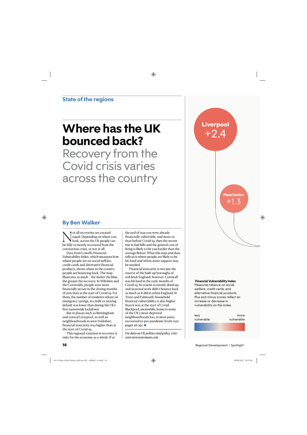# **Where has the UK bounced back?**

Recovery from the Covid crisis varies across the country **Liverpool**  $+2.4$ 

> **Manchester** +1.3

### **By Ben Walker**

 $\sum_{\text{local}} \begin{array}{l} \text{ot all recoveries are created} \\ \text{equal. Depending on where} \\ \text{look, across the UK people} \\ \text{be fully or mostly recovered from the task.} \end{array}$ equal. Depending on where you look, across the UK people can be fully or mostly recovered from the coronavirus crisis, or not at all.

Data from Lowell's Financial Vulnerability Index, which measures how reliant people are on social welfare, credit cards and alternative financial products, shows where in the country people are bouncing back. The map illustrates as much – the darker the blue, the greater the recovery. In Wiltshire and the Cotswolds, people were more financially secure in the closing months of 2021 than at the start of Covid-19. For them, the number of residents reliant on emergency savings, in credit or nearing default was lower than during the UK's first nationwide lockdown.

But in places such as Birmingham and central Liverpool, as well as neighbourhoods in west Yorkshire, financial insecurity was higher than at the start of Covid-19.

This regional variation in recovery is risky for the economy as a whole. If at

the end of 2021 you were already financially vulnerable, and more so than before Covid-19, then the recent rise in fuel bills and the general cost of living is likely to hit you harder than the average Briton. What this map and data tells us is where people are likely to be hit hard and where more support may be needed.

Financial insecurity is not just the reserve of the built-up boroughs of red-brick England, however. Cornwall was hit hard in the early months of Covid-19. Its tourist economy dried up, and seasonal work didn't bounce back as much as it did in urban England. In Truro and Falmouth, household financial vulnerability is also higher than it was at the start of Covid. Blackpool, meanwhile, home to some of the UK's most deprived neighbourhoods has, in most parts, recovered to pre-pandemic levels (see pages 26-29). O

*For data on UK politics and policy, visit: sotn.newstatesman.com*

#### **\* Financial Vulnerability Index**

Measures reliance on social welfare, credit cards, and alternative financial products. Plus and minus scores reflect an increase or decrease in vulnerability on the index.

| less       | more       |
|------------|------------|
| vulnerable | vulnerable |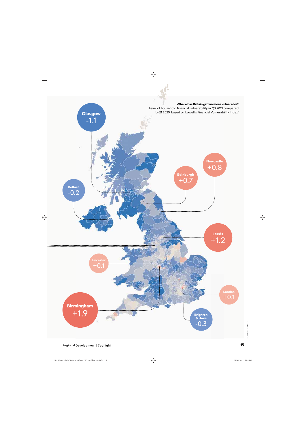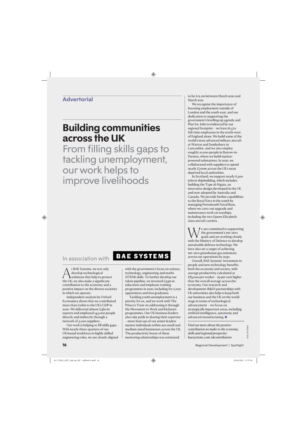### **Advertorial**

# **Building communities across the UK**

From filling skills gaps to tackling unemployment, our work helps to improve livelihoods

## In association with

 $\bigwedge_{\text{select}}^{\text{t BAE Systems, we not only}}$ <br>develop technological<br>the UK: we also make a significant develop technological solutions that help to protect the UK; we also make a significant contribution to the economy and a positive impact on the diverse societies in which we operate.

Independent analysis by Oxford Economics shows that we contributed more than £10bn to the UK's GDP in 2020. We delivered almost £4bn in exports and employed 143,000 people directly and indirectly through a network of 5,000 suppliers.

Our work is helping to fill skills gaps. With nearly three-quarters of our UK-based workforce in highly skilled engineering roles, we are closely aligned

# **BAE SYSTEMS**

with the government's focus on science, technology, engineering and maths (STEM) skills. To further develop our talent pipeline, we invested  $E_{93}$ m in education and employee training programmes in 2020, including for 2,000 apprentices and 600 graduates.

Tackling youth unemployment is a priority for us, and we work with The Prince's Trust on addressing it through the Movement to Work and Kickstart programmes. Our UK business leaders also take pride in sharing their expertise – more than 190 of our senior leaders mentor individuals within 200 small and medium-sized businesses across the UK. The productivity boost of these mentoring relationships was estimated

to be £12.2m between March 2020 and March 2021.

We recognise the importance of boosting employment outside of London and the south-east, and our dedication to supporting the government's levelling-up agenda and Plan for Jobs is evidenced by our regional footprint – we have 16,570 full-time employees in the north-west of England alone. We build some of the world's most advanced military aircraft at Warton and Samlesbury in Lancashire, and we also employ roughly 10,000 people in Barrow-in-Furness, where we build nuclearpowered submarines. In 2020, we collaborated with suppliers to spend nearly £700m across the UK's most deprived local authorities.

In Scotland, we support nearly 6,500 jobs in shipbuilding, which includes building the Type 26 frigate, an innovative design developed in the UK and now adopted by Australia and Canada. We provide further capabilities to the Royal Navy in the south by managing Portsmouth Naval Base, where we carry out upgrade and maintenance work on warships, including the two Queen Elizabethclass aircraft carriers.

We are committed to supporting<br>the government's net-zero<br>with the Ministry of Defence to develop the government's net-zero goals and are working closely sustainable defence technology. We have also set a target of achieving net-zero greenhouse gas emissions across our operations by 2030.

Overall, BAE Systems' investment in people and new technology benefits both the economy and society, with average productivity calculated at £83,000 per worker – 29 per cent higher than the overall average across the economy. Our research and development (R&D) partnerships with UK universities also help to keep both our business and the UK on the world stage in terms of technological advancement – we focus on strategically important areas, including artificial intelligence, autonomy and advanced manufacturing.  $\bullet$ 

*Find out more about the positive contribution we make to the economy, skills and regional prosperity: baesystems.com/ukcontribution*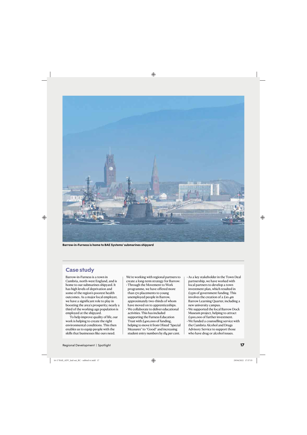

**Barrow-in-Furness is home to BAE Systems' submarines shipyard**

### **Case study**

Barrow-in-Furness is a town in Cumbria, north-west England, and is home to our submarines shipyard. It has high levels of deprivation and some of the region's poorest health outcomes. As a major local employer, we have a significant role to play in boosting the area's prosperity; nearly a third of the working-age population is employed at the shipyard.

To help improve quality of life, our work is helping to create the right environmental conditions. This then enables us to equip people with the skills that businesses like ours need.

We're working with regional partners to create a long-term strategy for Barrow:

- Through the Movement to Work programme, we have offered more than 170 placements to young unemployed people in Barrow, approximately two-thirds of whom have moved on to apprenticeships. • We collaborate to deliver educational
- activities. This has included supporting the Furness Education Trust with £400,000 of funding, helping to move it from Ofsted "Special Measures" to "Good" and increasing student entry numbers by 184 per cent.
- As a key stakeholder in the Town Deal partnership, we have worked with local partners to develop a town investment plan, which resulted in £25m of government funding. This involves the creation of a £10.4m Barrow Learning Quarter, including a new university campus. • We supported the local Barrow Dock
- Museum project, helping to attract £900,000 of further investment.
- We funded a counselling service with the Cumbria Alcohol and Drugs Advisory Service to support those who have drug or alcohol issues.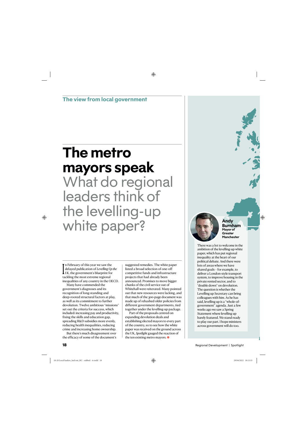**The view from local government**

# **The metro mayors speak** What do regional leaders think of the levelling-up white paper? **Andy Andy** Burnh

 $\prod_{\text{ta}}$ In February of this year we saw the delayed publication of *Levelling Up the UK*, the government's blueprint for tackling the most extreme regional inequalities of any country in the OECD.

Many have commended the government's diagnoses and its recognition of long-standing and deep-rooted structural factors at play, as well as its commitment to further devolution. Twelve ambitious "missions" set out the criteria for success, which included: increasing pay and productivity, fixing the skills and education gap, spreading R&D subsidies more evenly, reducing health inequalities, reducing crime and increasing home ownership.

But there's much disagreement over the efficacy of some of the document's

suggested remedies. The white paper listed a broad selection of one-off competitive funds and infrastructure projects that had already been announced. Promises to move bigger chunks of the civil service out of Whitehall were reiterated. Many pointed out that new resources were lacking, and that much of the 300-page document was made up of rehashed older policies from different government departments, tied together under the levelling-up package.

Part of the proposals centred on expanding devolution deals and establishing elected mayors to every part of the country, so to see how the white paper was received on the ground across the UK, *Spotlight* gauged the reaction of the ten existing metro mayors.  $\bullet$ 



**Burnham Mayor of Greater Manchester**

There was a lot to welcome in the ambition of the levelling-up white paper, which has put regional inequality at the heart of our political debate. And there were lots of areas where we have shared goals – for example, to deliver a London-style transport system, to improve housing in the private rented sector, and to "double down" on devolution. The question is whether the Levelling up Secretary can bring colleagues with him. As he has said, levelling up is a "whole-ofgovernment" agenda. Just a few weeks ago we saw a Spring Statement where levelling up barely featured. We stand ready to play our part. I hope ministers across government will do too.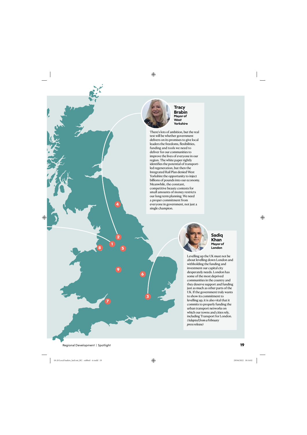

**Tracy Brabin Mayor of West Yorkshire**

There's lots of ambition, but the real test will be whether government delivers on its promises to give local leaders the freedoms, flexibilities, funding and tools we need to deliver for our communities to improve the lives of everyone in our region. The white paper rightly identifies the potential of transportled regeneration, but then the Integrated Rail Plan denied West Yorkshire the opportunity to inject billions of pounds into our economy. Meanwhile, the constant, competitive beauty contests for small amounts of money restricts our long-term planning. We need a proper commitment from everyone in government, not just a single champion.



Levelling up the UK must not be about levelling down London and withholding the funding and investment our capital city desperately needs. London has some of the most deprived communities in the country and they deserve support and funding just as much as other parts of the UK. If the government truly wants to show its commitment to levelling up, it is also vital that it commits to properly funding the urban transport networks on which our towns and cities rely, including Transport for London. *(Adapted from a February press release)*

**9**

**2**

**1**

**4**

**7**

**8**

**5**

**6**

**3**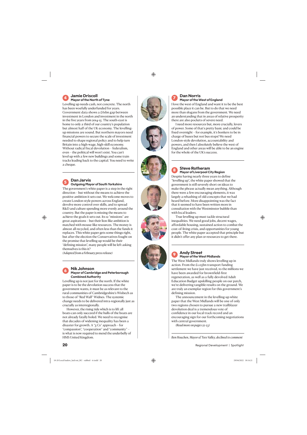# **Mayor of the North of Tyne**

**20 Cannel Development and the control of the spotle set of the spotle set of the spotle set of the spotle set of the spotle set of the spotle set of the spotle set of the spotle set of the spotle set of the spotle set** Levelling up needs cash, not concrete. The north has been woefully underfunded for years. Government data shows a £61bn gap between investment in London and investment in the north in the five years from 2014-15. The south-east is home to only a third of our country's population but almost half of the UK economy. The levellingup missions are sound. But northern mayors need financial powers to secure the scale of investment needed to shape regional policy and to help turn Britain into a high-wage, high-skill economy. Without radical fiscal devolution – federalism, even – the political will won't exist. You can't level up with a few new buildings and some train tracks leading back to the capital. You need to write a cheque.

#### **<sup>5</sup> Dan Jarvis Outgoing Mayor of South Yorkshire**

The government's white paper is a step in the right direction – but without the means to achieve the positive ambition it sets out. We welcome moves to create London-style powers across England, devolve more control over skills, and to spread R&D and culture spending more evenly around the country. But the paper is missing the means to achieve the goals it sets out. Its 12 "missions" are great aspirations – but their lion-like ambition is matched with mouse-like resources. The money is almost all recycled, and often less than the funds it replaces. This white paper gets some things right, but after the election the Conservatives fought on the promise that levelling up would be their "defining mission", many people will be left asking themselves is this it?

*(Adapted from a February press release)*

#### **<sup>6</sup> Nik Johnson Mayor of Cambridge and Peterborough Combined Authority**

Levelling up is not just for the north. If the white paper is to be the devolution success that the government wants, it must be as relevant to the rural communities of Cambridgeshire's Wisbech as to those of "Red Wall" Widnes. The systemic change needs to be delivered intra-regionally just as crucially as interregionally.

However, the rising tide which is to lift all boats can only succeed if the hulls of the boats are not already fatally holed. We need to recognise that decades of widening inequality has been a disaster for growth. A " $3 \text{Cs}$ " approach – for "compassion", "cooperation" and "community" – is what is now required to mend the underbelly of HMS United Kingdom.













#### **<sup>7</sup> Dan Norris Mayor of the West of England**

I love the west of England and want it to be the best possible place it can be. But to do that we need more than slogans from the government. We need an understanding that in areas of relative prosperity there are also pockets of severe need.

I need more resources but, more crucially, levers of power. Some of that's pretty basic and could be fixed overnight – for example, it's bonkers to be in charge of buses but not bus stops! We need London-style devolution, accountability and powers, and then I absolutely believe the west of England and other areas will be able to be an engine for the whole of the UK's success.

#### **<sup>8</sup> Steve Rotheram Mayor of Liverpool City Region**

Despite having nearly three years to define "levelling up", the white paper showed that the government is still severely short on ideas to make the phrase actually mean anything. Although there were a few encouraging elements, it was largely a rehashing of old concepts that we had heard before. More disappointing was the fact that it seemed to have been written more in consultation with the Westminster bubble than with local leaders.

True levelling up must tackle structural inequalities. We need good jobs, decent wages, affordable housing, sustained action to combat the cost-of-living crisis, and opportunities for young people. The white paper accepted that principle but it didn't offer any plan or resources to get there.

#### **<sup>9</sup> Andy Street Mayor of the West Midlands**

The West Midlands truly shows levelling up in action. From the £1.05bn transport funding settlement we have just received, to the millions we have been awarded for brownfield-first regeneration, as well as a fully devolved Adult Education Budget upskilling people on our patch, we're delivering tangible results on the ground. We are truly an exemplar region for this government's defining mission.

The announcement in the levelling-up white paper that the West Midlands will be one of only two regions chosen to pursue a new trailblazer devolution deal is a tremendous vote of confidence in our local track record and an encouraging sign for our forthcoming negotiations with central government.

*(Read more on pages 22-23)*

*Ben Houchen, Mayor of Tees Valley, declined to comment*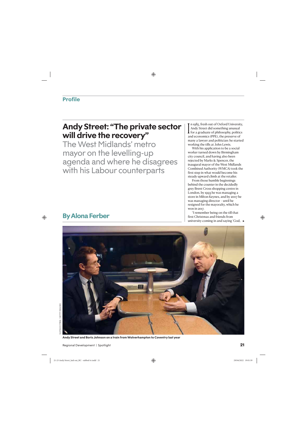# **Andy Street: "The private sector will drive the recovery"**

The West Midlands' metro mayor on the levelling-up agenda and where he disagrees with his Labour counterparts

 $\prod_{\alpha}$ n 1985, fresh out of Oxford University, Andy Street did something unusual for a graduate of philosophy, politics and economics (PPE), the preserve of many a lawyer and politician: he started working the tills at John Lewis.

With his application to be a social worker turned down by Birmingham city council, and having also been rejected by Marks & Spencer, the inaugural mayor of the West Midlands Combined Authority (WMCA) took the first step in what would become his steady upward climb at the retailer.

From those humble beginnings behind the counter in the decidedly grey Brent Cross shopping centre in London, by 1993 he was managing a store in Milton Keynes, and by 2007 he was managing director – until he resigned for the mayoralty, which he won in 2017.

"I remember being on the till that first Christmas and friends from university coming in and saying 'God,



# **By Alona Ferber**

**Andy Street and Boris Johnson on a train from Wolverhampton to Coventry last year**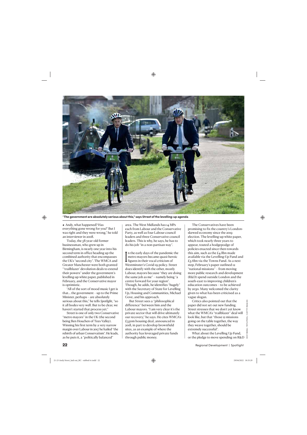

"**The government are absolutely serious about this," says Street of the levelling-up agenda**

Andy, what happened? Has everything gone wrong for you?' But I was right and they were wrong," he told an interviewer in 2008.

Today, the 58-year-old former businessman, who grew up in Birmingham, is nearly one year into his second term in office heading up the combined authority that encompasses the UK's "second city". The WMCA and Greater Manchester were both granted "'trailblazer' devolution deals to extend their powers" under the government's levelling-up white paper, published in February, and the Conservative mayor is optimistic.

"All of the sort of mood music I get is that… the government – up to the Prime Minister, perhaps – are absolutely serious about this," he tells *Spotlight*, "so it all bodes very well. But to be clear, we haven't started that process yet."

Street is one of only two Conservative "metro mayors" in the UK (the second being Ben Houchen of Tees Valley). Winning his first term by a very narrow margin over Labour in 2017 he hailed "the rebirth of urban Conservatism". He leads, as he puts it, a "politically balanced"

area. The West Midlands has 14 MPs each from Labour and the Conservative Party, as well as four Labour council leaders and three Conservative council leaders. This is why, he says, he has to do his job "in a non-partisan way".

 $\prod_{\mathbf{W}}$ In the early days of the pandemic the metro mayors became quasi-heroic figures in their vocal criticism of Westminster's Covid-19 policy. Street does identify with the other, mostly Labour, mayors because "they are doing the same job as me" – namely being "a centre forward for your region". Though, he adds, he identifies "hugely" with the Secretary of State for Levelling Up, Housing and Communities, Michael Gove, and his approach.

But Street sees a "philosophical difference" between him and the Labour mayors. "I am very clear it's the private sector that will drive ultimately our recovery," he says. He cites WMCA's £350m housing deal, announced in 2018, in part to develop brownfield sites, as an example of where the authority has leveraged private funds through public money.

The Conservatives have been promising to fix the country's Londonskewed economy since the 2019 election. The levelling-up white paper, which took nearly three years to appear, touted a hodgepodge of policies enacted since then towards this aim, such as the  $E_4$ .8bn made available via the Levelling-Up Fund and £3.6bn via the Towns Fund. As a next step, February's paper outlined 12 "national missions" – from moving more public research and development (R&D) spend outside London and the south-east to improving children's education outcomes – to be achieved by 2030. Many welcomed the clarity given to what has been criticised as a vague slogan.

Critics also pointed out that the paper did not set out new funding. Street stresses that we don't yet know what the WMCA's "trailblazer" deal will look like, but that "those 12 missions going on the table together, the way they weave together, should be extremely successful".

What about the Levelling Up Fund, or the pledge to move spending on R&D  $\bar{z}$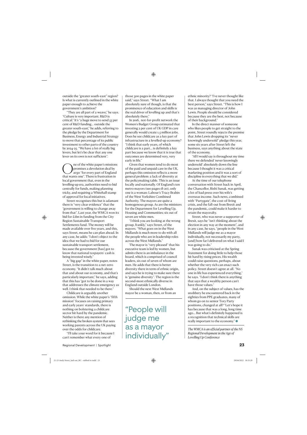outside the "greater south-east" region? Is what is currently outlined in the white paper enough to achieve the government's ambition?

"They are all part of a weave," he says. "Culture is very important. R&D is critical." It's "a huge move to send 55 per cent of R&D funding… outside the greater south-east," he adds, referring to the pledge by the Department for Business, Energy and Industrial Strategy to move that percentage of its public investment to other parts of the country by 2024-25. "We have a lot of really big levers, but let's be clear that any one lever on its own is not sufficient".

 $\bigodot$  ne of the white paper's missions<br>promises a devolution deal by<br>that wants one". There is frustration in promises a devolution deal by 2030 "for every part of England that wants one". There is frustration in local government that, even in the levelling-up era, authorities need to bid centrally for funds, making planning tricky, and requiring a Whitehall stamp of approval for local initiatives.

Street recognises this but is adamant there is "very clear evidence" that the "government is willing to change away from that". Last year, the WMCA won its bid for £1bn in funding from the City Region Sustainable Transport Settlements fund. The money will be made available over five years, and this, says Street, means he can plan ahead. In any case, he adds: "I don't object to the idea that we had to bid for our sustainable transport settlement, because the government [has] got to know that national taxpayers' cash is being invested wisely."

A "big gap" in the white paper, notes Street, is the transition to a net-zero economy. "It didn't talk much about that and about our economy, and that's particularly important," he says, adding that this has "got to be done in a way that addresses the climate emergency as well. I think that needed to be there."

Childcare is arguably another omission. While the white paper's "fifth mission" focuses on raising primary and early years' standards, there is nothing on bolstering a childcare sector hit hard by the pandemic. Neither is there any mention of rethinking the broken system that sees working parents across the UK paying over the odds for childcare.

"I'll take your word for it because I can't remember what every one of

In 2016, not-for-profit network the Women's Budget Group estimated that investing 2 per cent of UK GDP in care generally would create 1.5 million jobs. Does he see childcare as a key part of infrastructure in a levelled-up economy? "I think that early years, of which childcare is a part… is definitely a key part because we know that it is true that outcomes are determined very, very early in life."

Given that women tend to do most of the paid and unpaid care in the UK, perhaps this omission reflects a more general problem: a lack of diversity at the policymaking table. This is an issue locally and nationally. Of England's ten metro mayors (see pages 18-20), only one is a woman: Labour's Tracy Brabin of the West Yorkshire Combined Authority. The mayors are quite a homogenous group. As are the ministers for the Department for Levelling Up, Housing and Communities; six out of seven are white men.

"I think you are looking at the wrong group, frankly," says Street, of the mayors. "What goes on in the West Midlands is much more to do with all the people who are in leadership roles across the West Midlands."

The mayor is "very pleased" that his executive team is led by women, but admits there is an imbalance in the board, which is comprised of council leaders, six out of seven of whom are men. He adds that there is better diversity there in term of ethnic origin, and says he is trying to make sure there is "genuine diversity". The region is the second-most ethnically diverse in England outside London.

Should the next West Midlands mayor be a woman, then, or from an

"People will judge me as a mayor individually" ethnic minority? "I've never thought like that. I always thought that you need the best person," says Street. "This is how I was as managing director of John Lewis. People should be considered because they are the best, not because of their background."

In the direct manner of someone who likes people to get straight to the point, Street roundly rejects the premise that John Lewis dropping its "never knowingly undersold" pledge this year, some six years after Street left the business, says anything about the state of the economy.

"All I would say is throughout my time there we defended 'never knowingly undersold' absolutely down the line because I thought it was a critical marketing position and it was a sort of discipline in everything that we did."

At the time of our telephone conversation with Street back in April, the Chancellor, Rishi Sunak, was getting a lot of bad press over his wife's overseas income. Such news, combined with "Partygate", the cost-of-living crisis, and the fall-out from Brexit and the pandemic, could make it harder to retain the mayoralty.

Street, who was never a supporter of Brexit, says he "isn't thinking about the election in any way at the moment", and in any case, he says, "people in the West Midlands will judge me as a mayor individually, not necessarily my party, [and] how far I delivered on what I said I was going to do."

Sunak was criticised at the Spring Statement for doing little to help those hit hard by rising prices. His wealth could raise questions, perhaps, about whether the very rich can enact such policy. Street doesn't agree at all. "No one in life has experienced everything," he says. "I don't think there is anything that says that a wealthy person can't have those values."

And, on the subject of values, has the snobbery he encountered back in the eighties from PPE graduates, many of whom go on to senior Tory Party positions, changed at all? "Let's hope it has because that was a long, long time ago… But what's definitely happened is a recognition that technical skills are really important to the economy."

*The WMCA is an official partner of the NS Regional Development in the Age of Levelling Up Conference*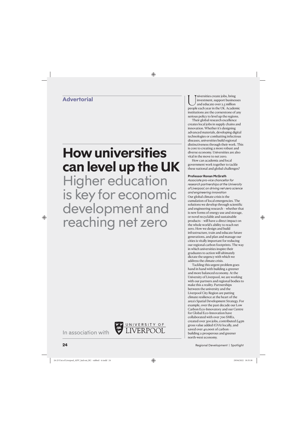# **How universities can level up the UK**  Higher education is key for economic development and reaching net zero

UNIVERSITY OF

**Advertorial**  $\left[\begin{array}{c} \bullet \ \bullet \ \bullet \end{array} \right]$   $\left[\begin{array}{c} \bullet \ \bullet \ \bullet \end{array} \right]$   $\left[\begin{array}{c} \bullet \ \bullet \ \bullet \end{array} \right]$  investment, support busines and educate over 2.5 million people each vear in the UK. Academ investment, support businesses and educate over 2.5 million people each year in the UK. Academic institutions are the cornerstone of any serious policy to level up the regions.

> Their global research excellence creates local jobs in supply chains and innovation. Whether it's designing advanced materials, developing digital technologies or combatting infectious diseases, universities build regional distinctiveness through their work. This is core to creating a more robust and diverse economy. Universities are also vital in the move to net zero.

How can academia and local government work together to tackle these national and global challenges?

#### **Professor Ronan McGrath**

*Associate pro-vice chancellor for research partnerships at the University of Liverpool, on driving net-zero science and engineering innovation* Our global climate crisis is the cumulation of local emergencies. The solutions we develop through scientific and engineering research – whether that is new forms of energy use and storage, or novel recyclable and sustainable products – will have a direct impact on the whole world's ability to reach net zero. How we design and build infrastructure, train and educate future generations, and plan and manage our cities is vitally important for reducing our regional carbon footprints. The way in which universities inspire their graduates to action will ultimately dictate the urgency with which we address the climate crisis.

Tackling this urgent problem goes hand in hand with building a greener and more balanced economy. At the University of Liverpool, we are working with our partners and regional bodies to make this a reality. Partnerships between the university and the Liverpool City Region are putting climate resilience at the heart of the area's Spatial Development Strategy. For example, over the past decade our Low Carbon Eco-Innovatory and our Centre for Global Eco-Innovation have collaborated with over 700 SMEs, created over 300 jobs, contributed £45m gross value added (GVA) locally, and saved over 40,000t of carbon – building a prosperous and greener north-west economy.

In association with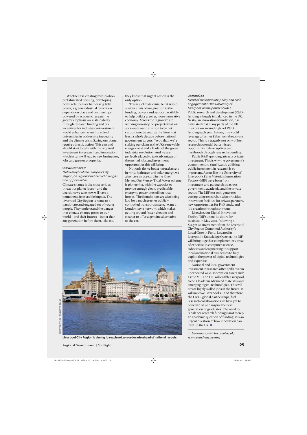Whether it is creating zero-carbon prefabricated housing, developing novel solar cells or harnessing tidal power, a green industrial revolution depends on place and partnerships powered by academic research. A greater emphasis on sustainability through research funding and tax incentives for industry co-investment would enhance the anchor role of universities in addressing inequality and the climate crisis. Saving our planet requires drastic action. This can and should start locally with the required investment in research and innovation, which in turn will lead to new businesses, jobs and greater prosperity.

#### **Steve Rotheram**

*Metro mayor of the Liverpool City Region, on regional net-zero challenges and opportunities*

Climate change is the most serious threat our planet faces – and the decisions we take now will have a permanent, irreversible impact. The Liverpool City Region is home to a passionate and engaged set of young people. They understand the danger that climate change poses to our world – and their futures – better than any generation before them. Like me,

they know that urgent action is the only option.

This is a climate crisis, but it is also a wider crisis of imagination in the funding, powers and support available to help build a greener, more innovative economy. Across the region we are working non-stop on projects that will accelerate our transition to be net carbon zero by 2040 at the latest – at least a whole decade before national government targets. To do that, we're staking our claim as the UK's renewable energy coast and a leader of the green industrial revolution. And we are perfectly placed to take advantage of the myriad jobs and investment opportunities this will bring.

Not only do we boast natural assets in wind, hydrogen and solar energy, we also have an ace card in the River Mersey. Our Mersey Tidal Power scheme is pioneering, with the capacity to provide enough clean, predictable energy to power one million local homes. The foundations are also being laid for a much greener publicly controlled transport system. I want a London-style network, which makes getting around faster, cheaper and cleaner to offer a genuine alternative to the car.



**Liverpool City Region is aiming to reach net zero a decade ahead of national targets**

#### **James Coe**

*Head of sustainability, policy and civic engagement at the University of Liverpool, on the power of R&D* Public research and development (R&D) funding is hugely imbalanced in the UK. Nesta, an innovation foundation, has estimated that many parts of the UK miss out on around £4bn of R&D funding each year. In turn, this would leverage a further £8bn from the private sector. This is a tragedy not only of lost research potential but a missed opportunity to level up lives and livelihoods through research spending.

Public R&D spending attracts private investment. This is why the government's commitment to significantly uplifting public investment in research is so important. Assets like the University of Liverpool's £81m Materials Innovation Factory (MIF) were born from investment and partnerships across government, academia and the private sector. The MIF not only generates cutting-edge research, it also provides innovation facilities for private partners, new opportunities for PhD study, and job creation through spin-outs.

Likewise, our Digital Innovation Facility (DIF) opens its doors for business in May 2022, following a £12.7m co-investment from the Liverpool City Region Combined Authority's Local Growth Fund. Located in Liverpool's Knowledge Quarter, the DIF will bring together complementary areas of expertise in computer science, robotics and engineering to support local and national businesses to fully exploit the power of digital technologies and expertise.

National and local government investment in research often spills over in unexpected ways. Innovation assets such as the MIF and DIF will enable Liverpool to be a leader in advanced materials and emerging digital technologies. This will create highly skilled jobs in the future. It will improve Liverpool's – and therefore the UK's – global partnerships, fuel research collaborations we have yet to conceive of, and inspire the next generation of graduates. The need to rebalance research funding is not merely an academic question of funding, it is an urgent question of how innovation can level up the UK.  $\bullet$ 

*To learn more, visit: liverpool.ac.uk/ science-and-engineering*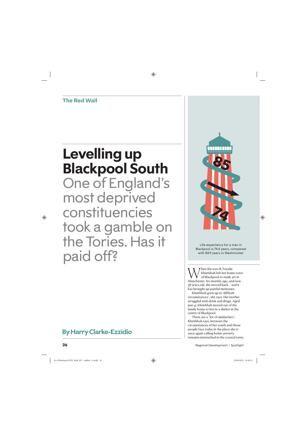**The Red Wall**

# **Levelling up Blackpool South**

One of England's most deprived constituencies took a gamble on the Tories. Has it paid off?

# **By Harry Clarke-Ezzidio**



Life expectancy for a man in Blackpool is 74.4 years, compared with 84.9 years in Westminster

When she was 18, Natalie<br>Manchester. Six months ago, and now<br>Manchester. Six months ago, and now Kheirkhah left her home town of Blackpool to study art in 38 years old, she moved back – and it has brought up painful memories.

Kheirkhah grew up in "difficult circumstances", she says. Her mother struggled with drink and drugs. Aged just 15, Kheirkhah moved out of the family home to live in a shelter in the centre of Blackpool.

There are a "lot of similarities", Kheirkhah says, between the circumstances of her youth and those people face today in the place she is once again calling home: poverty remains entrenched in the coastal town,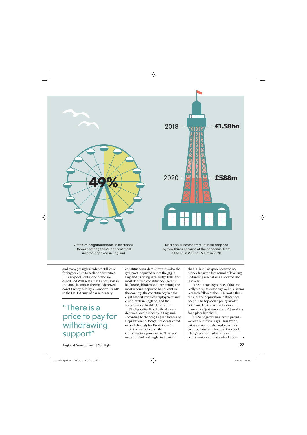



Of the 94 neighbourhoods in Blackpool, 46 were among the 20 per cent most income-deprived in England

Blackpool's income from tourism dropped by two-thirds because of the pandemic, from £1.58bn in 2018 to £588m in 2020

and many younger residents still leave for bigger cities to seek opportunities.

Blackpool South, one of the socalled Red Wall seats that Labour lost in the 2019 election, is the most deprived constituency held by a Conservative MP in the UK. In terms of parliamentary

"There is a price to pay for withdrawing support"

constituencies, data shows it is also the 17th most-deprived out of the 533 in England (Birmingham Hodge Hill is the most deprived constituency). Nearly half its neighbourhoods are among the most income-deprived 20 per cent in the country: the constituency has the eighth-worst levels of employment and crime levels in England, and the second-worst health deprivation.

Blackpool itself is the third mostdeprived local authority in England, according to the 2019 English Indices of Deprivation (IoD2019). Residents voted overwhelmingly for Brexit in 2016.

At the 2019 election, the Conservatives promised to "level up" underfunded and neglected parts of the UK, but Blackpool received no money from the first round of levellingup funding when it was allocated late last year.

"The outcomes you see of that are really stark," says Johnny Webb, a senior research fellow at the IPPR North think tank, of the deprivation in Blackpool South. The top-down policy models often used to try to develop local economies "just simply [aren't] working for a place like that".

"Us 'Sandgrown'uns', we're proud – we love our town," says Chris Webb, using a name locals employ to refer to those born and bred in Blackpool. The 36-year-old, who ran as a parliamentary candidate for Labour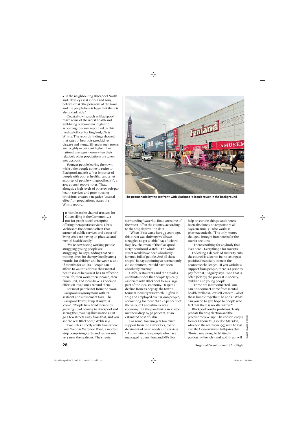$\triangleleft$  in the neighbouring Blackpool North and Cleveleys seat in 2017 and 2019, believes that "the potential of the town and the people here is huge. But there is also a dark side."

Coastal towns, such as Blackpool, "have some of the worst health and well-being outcomes in England", according to a 2021 report led by chief medical officer for England, Chris Whitty. The report's findings showed that rates of heart disease, kidney disease and mental illness in such towns are roughly 10 per cent higher than national averages – even when their relatively older populations are taken into account.

Younger people leaving the town, while older people come to retire to Blackpool, make it a "net importer of people with poorer health… and a net exporter of people with good health", a 2017 council report notes. That, alongside high levels of poverty, sub-par health services and poor housing provisions creates a negative "coastal effect" on populations, states the Whitty report.

 $\prod_{\alpha}$ n his role as the chair of trustees for Counselling in the Community, a not-for-profit social enterprise offering therapeutic services, Chris Webb sees the domino effect that stretched public services and a cost-ofliving crisis are having on physical and mental health locally.

"We're now seeing working people struggling; young people are struggling," he says, adding that NHS waiting times for therapy locally are 14 months for children and between 12 and 18 months for adults. "People can't afford to wait to address their mental health issues because it has an effect on their life, their work, their income, their family unit, and it can have a knock-on effect on loved ones around them."

For most people not from the town, Blackpool is synonymous with its seafront and amusement fairs. The Blackpool Tower, lit up at night, is iconic. "People have fond memories growing up of coming to Blackpool and seeing the [tower's] illuminations. But go a few streets away from that, and you see the real Blackpool," Webb says.

Two miles directly south from where I met Webb is Waterloo Road, a modest strip comprising cafés and restaurants very near the seafront. The streets



**The promenade by the seafront, with Blackpool's iconic tower in the background**

surrounding Waterloo Road are some of the worst-off in the country, according to the 2019 deprivation data.

"When I first came here 35 years ago, this street was thriving; we'd have struggled to get a table," says Richard Baguley, chairman of the Blackpool Neighbourhood Watch. "The whole street would have been absolutely jammed full of people. And all these shops," he says, pointing at permanently closed shutters, "would have been absolutely buzzing."

Cafés, restaurants and the arcades and funfair rides that people typically associate with Blackpool form a large part of the local economy. Despite a decline from its heyday, the town's tourism industry was worth £1.58bn in 2019 and employed over 25,000 people, accounting for more than 40 per cent of the value of Lancashire's entire economy. But the pandemic saw visitor numbers drop by 70 per cent, at an estimated cost of £1bn.

For some, tourism gets too much support from the authorities, to the detriment of basic needs and services. "I know quite a few people who have messaged [councillors and MPs] for

help on certain things, and there's been absolutely no response at all," says Suzanne, 31, who works in pharmaceuticals. "The only money that gets brought into here is for the tourist sections.

"There's nothing for anybody that lives here… Everything's for tourists."

Following a decade of austerity cuts, the council is also not in the strongest position financially to meet the economic challenges. "If you withdraw support from people, there is a price to pay for that," Baguley says. "And that is often [felt by] the poorest in society, children and young people.

"These are interconnected. You can't disconnect crime from mental health, wellness, low self-esteem – all of these bundle together," he adds. "What can you do to give hope to people who feel that there is no alternative?"

Blackpool South's problems clearly predate the 2019 election and the promise to "level up". The constituency's former Labour MP, Gordon Marsden, who held the seat from 1997 until he lost it to the Conservatives, half-jokes that "Boris came along, bullshitted – pardon my French – and said 'Brexit will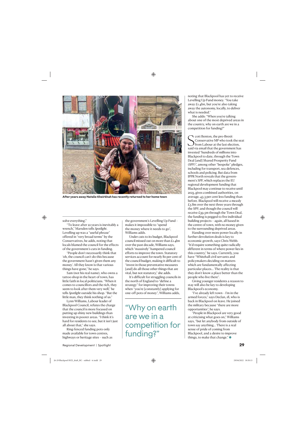

**After years away Natalie Kheirkhah has recently returned to her home town**

solve everything'."

"To leave after 22 years is inevitably a wrench," Marsden tells *Spotlight*. Levelling up was a "useful phrase" offered in "very broad terms" by the Conservatives, he adds, noting that locals blamed the council for the effects of the government's cuts in funding.

"People don't necessarily think that 'oh, the council can't do this because the government hasn't given them any money'. All they know is that various things have gone," he says.

Sam (not his real name), who owns a tattoo shop in the heart of town, has little faith in local politicians. "When it comes to councillors and the rich, they seem to look after them very well," he tells *Spotlight* outside his shop. "But the little man, they think nothing of us."

Lynn Williams, Labour leader of Blackpool Council, refutes the charge that the council is more focused on putting up shiny new buildings than investing in poorer areas. "I think it's hard for residents to see, but it isn't just all about that," she says.

Ring-fenced funding pots only made available for town centres, highways or heritage sites – such as the government's Levelling Up Fund – makes it impossible to "spend the money where it needs to go", Williams adds.

Under cuts to its budget, Blackpool council missed out on more than £1.4bn over the past decade, Williams says, which "massively" hampered council efforts to improve the town. Statutory services account for nearly 80 per cent of the council budget, making it difficult to "invest in those preventative measures [and] do all those other things that are vital, but not statutory," she adds.

It's difficult for struggling councils in the north of England to "define a strategy" for improving their towns when "you're [constantly] applying for one-off pots of money", Williams adds,

"Why on earth are we in a competition for funding?"

noting that Blackpool has yet to receive Levelling Up Fund money. "You take away £1.4bn, but you're also taking away the autonomy, locally, to deliver what is needed."

She adds: "When you're talking about one of the most deprived areas in the country, why on earth are we in a competition for funding?"

Such that the pro-Brexit<br>
Such that the viabour at the last election,<br>
said via email that the government has cott Benton, the pro-Brexit Conservative MP who took the seat from Labour at the last election, invested "hundreds of millions into Blackpool to date, through the Town Deal [and] Shared Prosperity Fund (SPF)", among other "bespoke" pledges, including for transport, sea defences, schools and policing. But data from IPPR North reveals that the government's SPF, which replaces the EU regional development funding that Blackpool may continue to receive until 2023, gives combined authorities, on average, 43.3 per cent less funding than before. Blackpool will receive a measly £5.8m over the next three years through the SPF; and though the council will receive £39.5m through the Town Deal, the funding is pegged to five individual building projects – again, all based in the centre of town, with no money given to the surrounding deprived areas.

Handing over more power locally in further devolution deals is key to economic growth, says Chris Webb. "It'd require something quite radically different in terms of where power lies in this country," he says. Currently, you have "Whitehall civil servants and policymakers deciding on matters which are fundamentally affecting particular places… The reality is that they don't know a place better than the people who live there".

Giving younger residents a reason to stay will also be key to developing Blackpool's economy.

"I've already left town – I'm in the armed forces," says Declan, 18, who is back in Blackpool on leave. He joined the military because "there are more opportunities", he says.

"People in Blackpool are very good at criticising what goes on," Williams says, "but let anybody from outside of town say anything… There is a real sense of pride of coming from Blackpool, and a desire to improve things, to make that change." $\bullet$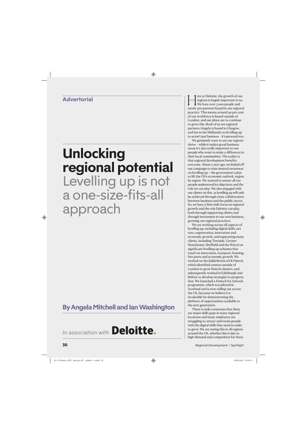### **Advertorial**

# **Unlocking regional potential**  Levelling up is not a one-size-fits-all approach

## **By Angela Mitchell and Ian Washington**

In association with **Deloitte.** 

Fere at Deloitte, the growth of our<br>regions is hugely important to us.<br>We have over 7,000 people and<br>nearly 200 partners based in our regiona regions is hugely important to us. We have over 7,000 people and nearly 300 partners based in our regional practice. This means around 40 per cent of our workforce is based outside of London, and our plans are to continue to grow this. Both of us are regional partners (Angela is based in Glasgow, and Ian in the Midlands) so levelling up to us isn't just business – it's personal too.

We genuinely want to see our regions thrive – while it makes good business sense it's also really important to our people who want to make a difference in their local communities. The reality is that regional development benefits everyone. About a year ago, we kicked off our campaign to raise internal awareness on levelling up – the government's plan to lift the UK's economic outlook, region by region. We wanted to ensure all our people understood its objectives and the role we can play. We also engaged with our clients on this, as levelling up will only be achieved through close collaboration between business and the public sector. So, we have a firm-wide focus on regional growth and the role Deloitte can play, both through supporting clients and through investment in our own business, growing our regional practices.

We are working across all aspects of levelling up, including digital skills, net zero, regeneration, innovation and economic growth, and supporting many clients, including Teesside, Greater Manchester, Sheffield and the Wirral on significant levelling-up schemes that touch on innovation, transport, housing, free ports and economic growth. We worked on the *Kalifa Review of UK Fintech*, which identified centres outside of London to grow fintech clusters, and subsequently worked in Edinburgh and Belfast to develop strategies to progress that. We launched a Fintech for Schools programme, which was piloted in Scotland and is now rolling out across the UK, because we believe it is invaluable for demonstrating the plethora of opportunities available to the next generation.

There is wide consensus that there are major skills gaps in many regional locations and many employers are struggling to attract and retain people with the digital skills they need in order to grow. We are seeing this in all regions around the UK, whether this is due to high demand and competition for these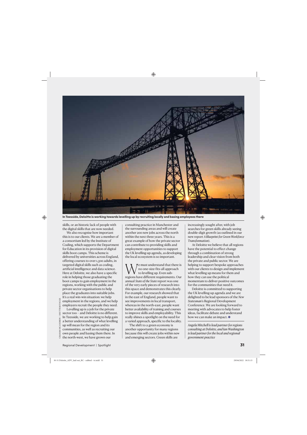

**In Teesside, Deloitte is working towards levelling up by recruiting locally and basing employees there**

skills, or an historic lack of people with the digital skills that are now needed.

We also recognise how important this is to our clients. We are a member of a consortium led by the Institute of Coding, which supports the Department for Education in its provision of digital skills boot camps. This scheme is delivered by universities across England, offering courses to over 1,500 adults, in targeted digital skills such as coding, artificial intelligence and data science. Here at Deloitte, we also have a specific role in helping those graduating the boot camps to gain employment in the regions, working with the public and private sector organisations to help place the graduates into suitable jobs. It's a real win-win situation: we help employment in the regions, and we help employers recruit the people they need.

Levelling up is a job for the private sector too – and Deloitte is no different. In Teesside, we are working to help gain a better understanding of what levelling up will mean for the region and its communities, as well as recruiting our own people and basing them there. In  $\tilde{e}$  the north-west, we have grown our

consulting practice in Manchester and the surrounding areas and will create another 200 new jobs across the north within the next three years. This is a great example of how the private sector can contribute to providing skills and employment opportunities to support the UK levelling-up agenda, as developing the local ecosystem is so important.

We must understand that there is<br>to levelling up. Even sub-<br>regions have different requirements. Our no one-size-fits-all approach to levelling up. Even subannual *State of the State* report was one of the very early pieces of research into this space and demonstrates this clearly. For example, our research showed that in the east of England, people want to see improvements in local transport, whereas in the north-east, people want better availability of training and courses to improve skills and employability. This really shines a spotlight on the need for a varied approach, specific to the locality.

The shift to a green economy is another opportunity for many regions because this will create jobs within new and emerging sectors. Green skills are

increasingly sought after, with job searches for green skills already seeing double-digit growth (as outlined in our new report *A Blueprint for Green Workforce Transformation*).

At Deloitte we believe that all regions have the potential to effect change through a combination of strong leadership and clear vision from both the private and public sector. We are helping to support bespoke approaches with our clients to design and implement what levelling up means for them and how they can use the political momentum to deliver positive outcomes for the communities that need it.

Deloitte is committed to supporting the UK levelling-up agenda and we are delighted to be lead sponsors of the *New Statesman*'s Regional Development Conference. We are looking forward to meeting with advocates to help foster ideas, facilitate debate and understand how we can make an impact.  $\bullet$ 

*Angela Mitchell is lead partner for regions consulting at Deloitte, and Ian Washington is lead partner for the local and regional government practice*